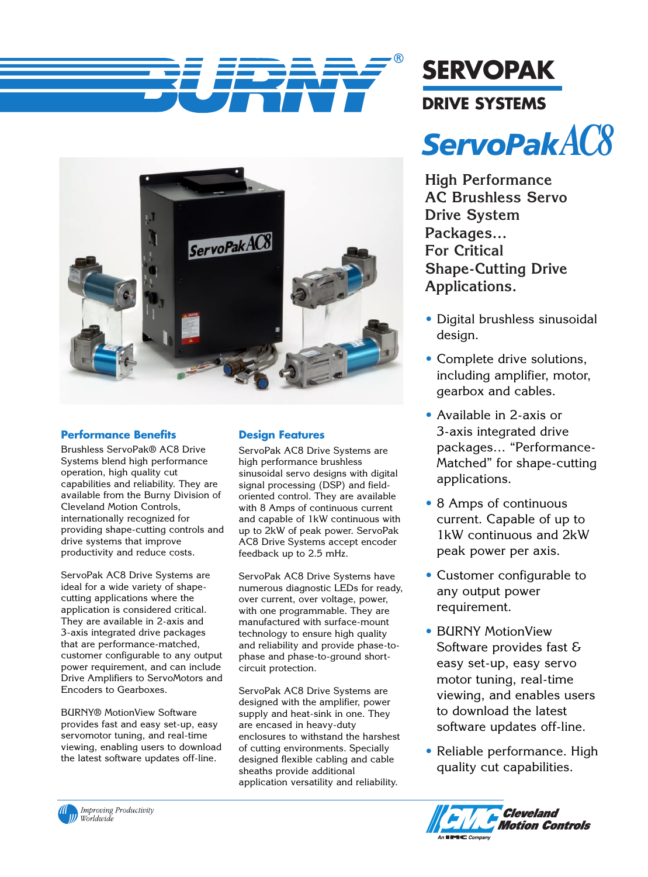



## **Performance Benefits**

Brushless ServoPak® AC8 Drive Systems blend high performance operation, high quality cut capabilities and reliability. They are available from the Burny Division of Cleveland Motion Controls, internationally recognized for providing shape-cutting controls and drive systems that improve productivity and reduce costs.

ServoPak AC8 Drive Systems are ideal for a wide variety of shapecutting applications where the application is considered critical. They are available in 2-axis and 3-axis integrated drive packages that are performance-matched, customer configurable to any output power requirement, and can include Drive Amplifiers to ServoMotors and Encoders to Gearboxes.

BURNY® MotionView Software provides fast and easy set-up, easy servomotor tuning, and real-time viewing, enabling users to download the latest software updates off-line.

## **Design Features**

ServoPak AC8 Drive Systems are high performance brushless sinusoidal servo designs with digital signal processing (DSP) and fieldoriented control. They are available with 8 Amps of continuous current and capable of 1kW continuous with up to 2kW of peak power. ServoPak AC8 Drive Systems accept encoder feedback up to 2.5 mHz.

ServoPak AC8 Drive Systems have numerous diagnostic LEDs for ready, over current, over voltage, power, with one programmable. They are manufactured with surface-mount technology to ensure high quality and reliability and provide phase-tophase and phase-to-ground shortcircuit protection.

ServoPak AC8 Drive Systems are designed with the amplifier, power supply and heat-sink in one. They are encased in heavy-duty enclosures to withstand the harshest of cutting environments. Specially designed flexible cabling and cable sheaths provide additional application versatility and reliability.

**SERVOPAK DRIVE SYSTEMS** *ServoPakAC8*

**High Performance AC Brushless Servo Drive System Packages… For Critical Shape-Cutting Drive Applications.**

- Digital brushless sinusoidal design.
- Complete drive solutions, including amplifier, motor, gearbox and cables.
- Available in 2-axis or 3-axis integrated drive packages… "Performance-Matched" for shape-cutting applications.
- 8 Amps of continuous current. Capable of up to 1kW continuous and 2kW peak power per axis.
- Customer configurable to any output power requirement.
- BURNY MotionView Software provides fast & easy set-up, easy servo motor tuning, real-time viewing, and enables users to download the latest software updates off-line.
- Reliable performance. High quality cut capabilities.